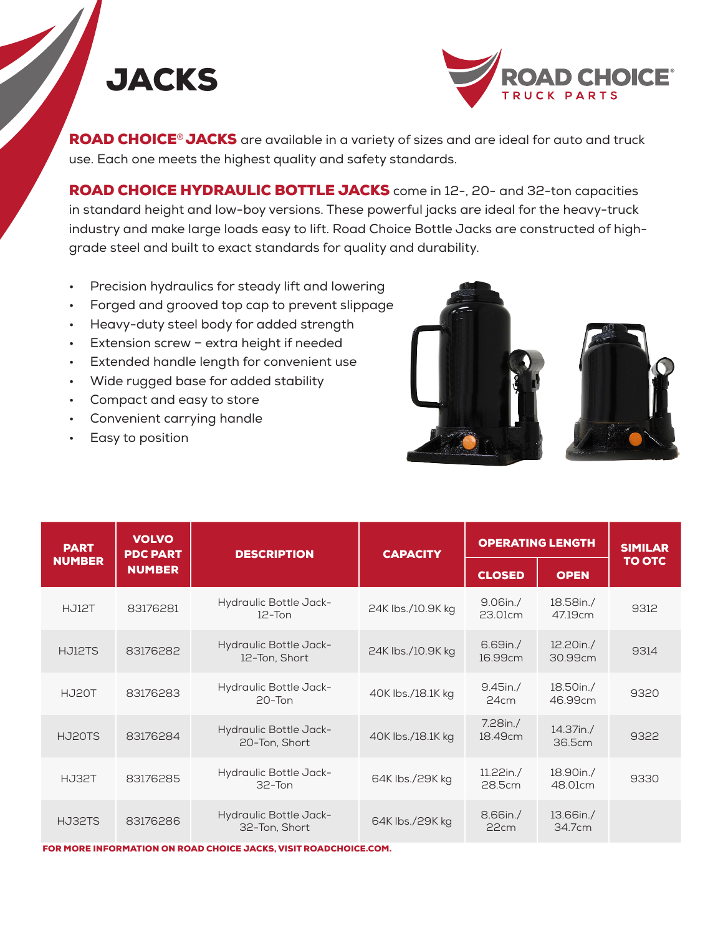



ROAD CHOICE® JACKS are available in a variety of sizes and are ideal for auto and truck use. Each one meets the highest quality and safety standards.

ROAD CHOICE HYDRAULIC BOTTLE JACKS come in 12-, 20- and 32-ton capacities in standard height and low-boy versions. These powerful jacks are ideal for the heavy-truck industry and make large loads easy to lift. Road Choice Bottle Jacks are constructed of highgrade steel and built to exact standards for quality and durability.

- Precision hydraulics for steady lift and lowering
- Forged and grooved top cap to prevent slippage
- Heavy-duty steel body for added strength
- Extension screw extra height if needed
- Extended handle length for convenient use
- Wide rugged base for added stability
- Compact and easy to store
- Convenient carrying handle
- Easy to position



| <b>PART</b><br><b>NUMBER</b> | <b>VOLVO</b><br><b>PDC PART</b><br><b>NUMBER</b> | <b>DESCRIPTION</b>                          | <b>CAPACITY</b>   | <b>OPERATING LENGTH</b> |                      | <b>SIMILAR</b> |
|------------------------------|--------------------------------------------------|---------------------------------------------|-------------------|-------------------------|----------------------|----------------|
|                              |                                                  |                                             |                   | <b>CLOSED</b>           | <b>OPEN</b>          | <b>TO OTC</b>  |
| HJ12T                        | 83176281                                         | Hydraulic Bottle Jack-<br>$12$ -Ton         | 24K lbs./10.9K kg | $9.06$ in./<br>23.01cm  | 18.58in./<br>47.19cm | 9312           |
| HJ12TS                       | 83176282                                         | Hydraulic Bottle Jack-<br>12-Ton, Short     | 24K lbs./10.9K kg | 6.69in./<br>16.99cm     | 12.20in./<br>30.99cm | 9314           |
| HJ20T                        | 83176283                                         | Hydraulic Bottle Jack-<br>$20 - \text{Tom}$ | 40K lbs./18.1K kg | $9.45$ in./<br>24cm     | 18.50in./<br>46.99cm | 9320           |
| HJ20TS                       | 83176284                                         | Hydraulic Bottle Jack-<br>20-Ton, Short     | 40K lbs./18.1K kg | 7.28in./<br>18.49cm     | 14.37in./<br>36.5cm  | 9322           |
| HJ32T                        | 83176285                                         | Hydraulic Bottle Jack-<br>$32 - Ton$        | 64K lbs./29K kg   | 11.22in./<br>28.5cm     | 18.90in./<br>48.01cm | 9330           |
| HJ32TS                       | 83176286                                         | Hydraulic Bottle Jack-<br>32-Ton, Short     | 64K lbs./29K kg   | 8.66in./<br>22cm        | 13.66in./<br>34.7cm  |                |

FOR MORE INFORMATION ON ROAD CHOICE JACKS, VISIT ROADCHOICE.COM.